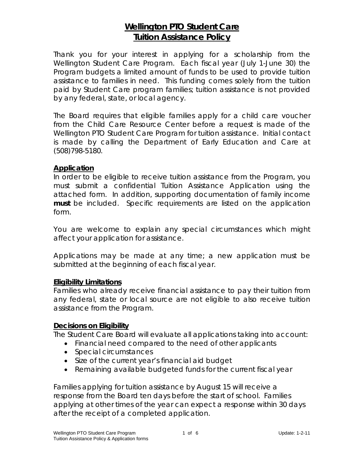# **Wellington PTO Student Care Tuition Assistance Policy**

Thank you for your interest in applying for a scholarship from the Wellington Student Care Program. Each fiscal year (July 1-June 30) the Program budgets a limited amount of funds to be used to provide tuition assistance to families in need. This funding comes solely from the tuition paid by Student Care program families; tuition assistance is not provided by any federal, state, or local agency.

The Board requires that eligible families apply for a child care voucher from the Child Care Resource Center before a request is made of the Wellington PTO Student Care Program for tuition assistance. Initial contact is made by calling the Department of Early Education and Care at (508)798-5180.

### **Application**

In order to be eligible to receive tuition assistance from the Program, you must submit a confidential Tuition Assistance Application using the attached form. In addition, supporting documentation of family income **must** be included. Specific requirements are listed on the application form.

You are welcome to explain any special circumstances which might affect your application for assistance.

Applications may be made at any time; a new application must be submitted at the beginning of each fiscal year.

### **Eligibility Limitations**

Families who already receive financial assistance to pay their tuition from any federal, state or local source are not eligible to also receive tuition assistance from the Program.

### **Decisions on Eligibility**

The Student Care Board will evaluate all applications taking into account:

- Financial need compared to the need of other applicants
- Special circumstances
- Size of the current year's financial aid budget
- Remaining available budgeted funds for the current fiscal year

Families applying for tuition assistance by August 15 will receive a response from the Board ten days before the start of school. Families applying at other times of the year can expect a response within 30 days after the receipt of a completed application.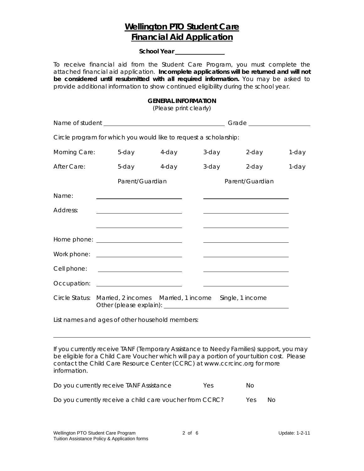## **Wellington PTO Student Care Financial Aid Application**

**School Year** 

To receive financial aid from the Student Care Program, you must complete the attached financial aid application. **Incomplete applications will be returned and will not be considered until resubmitted with all required information.** You may be asked to provide additional information to show continued eligibility during the school year.

#### **GENERAL INFORMATION**

*(Please print clearly)* 

| Circle program for which you would like to request a scholarship: |                                                     |             |       |                                                                                           |       |  |  |
|-------------------------------------------------------------------|-----------------------------------------------------|-------------|-------|-------------------------------------------------------------------------------------------|-------|--|--|
| Morning Care:                                                     |                                                     | 5-day 4-day | 3-day | 2-day                                                                                     | 1-day |  |  |
| After Care:                                                       | 5-day                                               | 4-day       | 3-day | 2-day                                                                                     | 1-day |  |  |
|                                                                   | Parent/Guardian                                     |             |       | Parent/Guardian                                                                           |       |  |  |
| Name:                                                             |                                                     |             |       |                                                                                           |       |  |  |
| Address:                                                          | <u> 1989 - Johann Barbara, martxa alemaniar a</u>   |             |       |                                                                                           |       |  |  |
|                                                                   | <u> 1989 - Johann Barn, mars et al. (b. 1989)</u>   |             |       | the control of the control of the control of the control of the control of the control of |       |  |  |
|                                                                   |                                                     |             |       |                                                                                           |       |  |  |
|                                                                   |                                                     |             |       | the control of the control of the control of the control of the control of the control of |       |  |  |
| Cell phone:                                                       |                                                     |             |       |                                                                                           |       |  |  |
|                                                                   | Occupation: ________________________                |             |       |                                                                                           |       |  |  |
|                                                                   | Circle Status: Married, 2 incomes Married, 1 income |             |       | Single, 1 income                                                                          |       |  |  |

List names and ages of other household members:

*If you currently receive TANF (Temporary Assistance to Needy Families) support, you may be eligible for a Child Care Voucher which will pay a portion of your tuition cost. Please contact the Child Care Resource Center (CCRC) at www.ccrcinc.org for more information.* 

| Do you currently receive TANF Assistance                 | Yes. | No.  |     |
|----------------------------------------------------------|------|------|-----|
| Do you currently receive a child care voucher from CCRC? |      | Yes. | No. |

L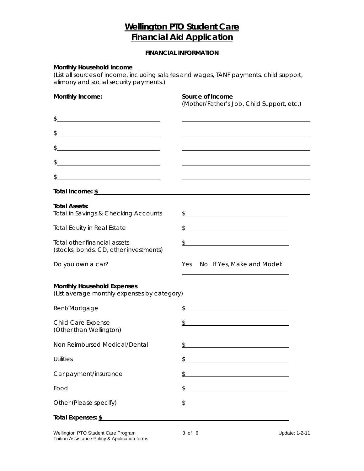# **Wellington PTO Student Care Financial Aid Application**

### **FINANCIAL INFORMATION**

#### **Monthly Household Income**

*(List all sources of income, including salaries and wages, TANF payments, child support, alimony and social security payments.)* 

| Monthly Income:                                                                                                            | Source of Income<br>(Mother/Father's Job, Child Support, etc.)                                                                          |  |  |
|----------------------------------------------------------------------------------------------------------------------------|-----------------------------------------------------------------------------------------------------------------------------------------|--|--|
| $\frac{1}{2}$                                                                                                              |                                                                                                                                         |  |  |
| $\frac{1}{2}$                                                                                                              |                                                                                                                                         |  |  |
| $\frac{1}{2}$                                                                                                              |                                                                                                                                         |  |  |
| <u> 1980 - Johann Barn, mars eta bainar eta bainar eta baina eta baina eta baina eta baina eta baina eta baina e</u><br>\$ |                                                                                                                                         |  |  |
| \$                                                                                                                         |                                                                                                                                         |  |  |
| Total Income: $\frac{\S}{}$                                                                                                |                                                                                                                                         |  |  |
| <b>Total Assets:</b><br><b>Total in Savings &amp; Checking Accounts</b>                                                    | \$<br><u> 1980 - Johann Stoff, fransk politik (d. 1980)</u>                                                                             |  |  |
| <b>Total Equity in Real Estate</b>                                                                                         | $\frac{1}{2}$<br><u> 1989 - Johann Stoff, deutscher Stoffen und der Stoffen und der Stoffen und der Stoffen und der Stoffen und der</u> |  |  |
| Total other financial assets<br>(stocks, bonds, CD, other investments)                                                     | \$<br><u> 1989 - Johann Barn, mars ann an t-Amhain an t-Amhain an t-Amhain an t-Amhain an t-Amhain an t-Amhain an t-Amh</u>             |  |  |
| Do you own a car?                                                                                                          | No If Yes, Make and Model:<br>Yes                                                                                                       |  |  |
| <b>Monthly Household Expenses</b><br>(List average monthly expenses by category)                                           |                                                                                                                                         |  |  |
| Rent/Mortgage                                                                                                              | $\frac{1}{2}$                                                                                                                           |  |  |
| Child Care Expense<br>(Other than Wellington)                                                                              | $\frac{1}{2}$                                                                                                                           |  |  |
| Non Reimbursed Medical/Dental                                                                                              | \$                                                                                                                                      |  |  |
| Utilities                                                                                                                  | \$.                                                                                                                                     |  |  |
| Car payment/insurance                                                                                                      | \$                                                                                                                                      |  |  |
| Food                                                                                                                       | \$                                                                                                                                      |  |  |
| Other (Please specify)                                                                                                     | \$<br><u> 1980 - Johann Barn, mars ann an t-Aontaithe ann an t-Aontaithe ann an t-Aontaithe ann an t-Aontaithe ann an t-</u>            |  |  |
| Total Expenses: \$                                                                                                         |                                                                                                                                         |  |  |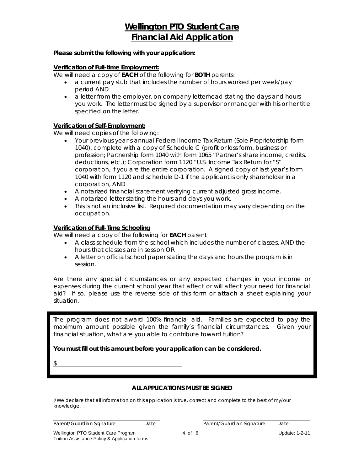# **Wellington PTO Student Care Financial Aid Application**

#### **Please submit the following with your application:**

#### **Verification of Full-time Employment:**

We will need a copy of **EACH** of the following for **BOTH** parents:

- a current pay stub that includes the number of hours worked per week/pay period AND
- a letter from the employer, on company letterhead stating the days and hours you work. The letter must be signed by a supervisor or manager with his or her title specified on the letter.

#### **Verification of Self-Employment:**

We will need copies of the following:

- Your previous year's annual Federal Income Tax Return (Sole Proprietorship form 1040), complete with a copy of Schedule C (profit or loss form, business or profession; Partnership form 1040 with form 1065 "Partner's share income, credits, deductions, etc.); Corporation form 1120 "U.S. Income Tax Return for "S" corporation, if you are the entire corporation. A signed copy of last year's form 1040 with form 1120 and schedule D-1 if the applicant is only shareholder in a corporation, AND
- A notarized financial statement verifying current adjusted gross income.
- A notarized letter stating the hours and days you work.
- This is not an inclusive list. Required documentation may vary depending on the occupation.

#### **Verification of Full-Time Schooling**

We will need a copy of the following for **EACH** parent

- A class schedule from the school which includes the number of classes, AND the hours that classes are in session OR
- A letter on official school paper stating the days and hours the program is in session.

*Are there any special circumstances or any expected changes in your income or expenses during the current school year that affect or will affect your need for financial aid? If so, please use the reverse side of this form or attach a sheet explaining your situation.* 

The program does not award 100% financial aid. Families are expected to pay the maximum amount possible given the family's financial circumstances. Given your financial situation, what are you able to contribute toward tuition?

**You must fill out this amount before your application can be considered.** 

\$

 $\overline{a}$ 

### **ALL APPLICATIONS MUST BE SIGNED**

I/We declare that all information on this application is true, correct and complete to the best of my/our knowledge.

Parent/Guardian Signature Date Date Parent/Guardian Signature Date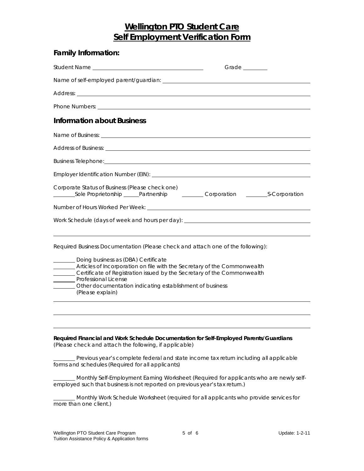# **Wellington PTO Student Care Self Employment Verification Form**

| <b>Family Information:</b>                                                                                                                                                                                                                                                                                                                                                                                                                                                                                                                                                                  |  |  |  |  |
|---------------------------------------------------------------------------------------------------------------------------------------------------------------------------------------------------------------------------------------------------------------------------------------------------------------------------------------------------------------------------------------------------------------------------------------------------------------------------------------------------------------------------------------------------------------------------------------------|--|--|--|--|
| Grade _______                                                                                                                                                                                                                                                                                                                                                                                                                                                                                                                                                                               |  |  |  |  |
|                                                                                                                                                                                                                                                                                                                                                                                                                                                                                                                                                                                             |  |  |  |  |
|                                                                                                                                                                                                                                                                                                                                                                                                                                                                                                                                                                                             |  |  |  |  |
|                                                                                                                                                                                                                                                                                                                                                                                                                                                                                                                                                                                             |  |  |  |  |
| <b>Information about Business</b>                                                                                                                                                                                                                                                                                                                                                                                                                                                                                                                                                           |  |  |  |  |
|                                                                                                                                                                                                                                                                                                                                                                                                                                                                                                                                                                                             |  |  |  |  |
|                                                                                                                                                                                                                                                                                                                                                                                                                                                                                                                                                                                             |  |  |  |  |
|                                                                                                                                                                                                                                                                                                                                                                                                                                                                                                                                                                                             |  |  |  |  |
|                                                                                                                                                                                                                                                                                                                                                                                                                                                                                                                                                                                             |  |  |  |  |
| Corporate Status of Business (Please check one)<br>_________Sole Proprietorship ______Partnership _____________Corporation ____________S-Corporation                                                                                                                                                                                                                                                                                                                                                                                                                                        |  |  |  |  |
|                                                                                                                                                                                                                                                                                                                                                                                                                                                                                                                                                                                             |  |  |  |  |
| Work Schedule (days of week and hours per day): ________________________________                                                                                                                                                                                                                                                                                                                                                                                                                                                                                                            |  |  |  |  |
| Required Business Documentation (Please check and attach one of the following):<br>Doing business as (DBA) Certificate<br>Articles of Incorporation on file with the Secretary of the Commonwealth<br>Certificate of Registration issued by the Secretary of the Commonwealth<br>Professional License<br>________ Other documentation indicating establishment of business<br>(Please explain)                                                                                                                                                                                              |  |  |  |  |
|                                                                                                                                                                                                                                                                                                                                                                                                                                                                                                                                                                                             |  |  |  |  |
| Required Financial and Work Schedule Documentation for Self-Employed Parents/Guardians<br>(Please check and attach the following, if applicable)<br>Previous year's complete federal and state income tax return including all applicable<br>forms and schedules (Required for all applicants)<br>Monthly Self-Employment Earning Worksheet (Required for applicants who are newly self-<br>employed such that business is not reported on previous year's tax return.)<br>_Monthly Work Schedule Worksheet (required for all applicants who provide services for<br>more than one client.) |  |  |  |  |
|                                                                                                                                                                                                                                                                                                                                                                                                                                                                                                                                                                                             |  |  |  |  |